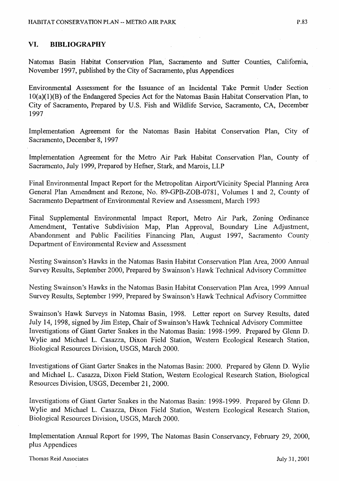## VI. **BIBLIOGRAPHY**

Natomas Basin Habitat Conservation Plan, Sacramento and Sutter Counties, California, November 1997, published by the City of Sacramento, plus Appendices

Environmental Assessment for the Issuance of an Incidental Take Permit Under Section IO(a)(l)(B) of the Endangered Species Act for the Natomas Basin Habitat Conservation Plan, to City of Sacramento, Prepared by U.S. Fish and Wildlife Service, Sacramento, CA, December 1997

Implementation Agreement for the Natomas Basin Habitat Conservation Plan, City of Sacramento, December 8, 1997

Implementation Agreement for the Metro Air Park Habitat Conservation Plan, County of Sacramento, July 1999, Prepared by Hefner, Stark, and Marois, LLP

Final Environmental Impact Report for the Metropolitan Airport/Vicinity Special Planning Area General Plan Amendment and Rezone; No. 89-GPB-ZOB-0781, Volumes 1 and 2, County of Sacramento Department of Environmental Review and Assessment, March 1993

Final Supplemental Environmental Impact Report, Metro Air Park, Zoning Ordinance Amendment, Tentative Subdivision Map, Plan Approval, Boundary Line Adjustment, Abandonment and Public Facilities Financing Plan, August 1997, Sacramento County Department of Environmental Review and Assessment

Nesting Swainson's Hawks in the Natomas Basin Habitat Conservation Plan Area, 2000 Annual Survey Results, September 2000, Prepared by Swainson's Hawk Technical Advisory Committee

Nesting Swainson's Hawks in the Natomas Basin Habitat Conservation Plan Area, 1999 Annual Survey Results, September 1999, Prepared by Swainson's Hawk Technical Advisory Committee

Swainson's Hawk Surveys in Natomas Basin, 1998. Letter report on Survey Results, dated July 14, 1998, signed by Jim Estep, Chair of Swainson's Hawk Technical Advisory Committee Investigations of Giant Garter Snakes in the Natomas Basin: 1998-1999. Prepared by Glenn D. Wylie and Michael L. Casazza, Dixon Field Station, Western Ecological Research Station, Biological Resources Division, USGS, March 2000.

Investigations of Giant Garter Snakes in the Natomas Basin: 2000. Prepared by Glenn D. Wylie and Michael L. Casazza, Dixon Field Station, Western Ecological Research Station, Biological Resources Division, USGS, December 21, 2000.

Investigations of Giant Garter Snakes in the Natomas Basin: 1998-1999. Prepared by Glenn D. Wylie and Michael L. Casazza, Dixon Field Station, Western Ecological Research Station, Biological Resources Division, USGS, March 2000.

Implementation Annual Report for 1999, The Natomas Basin Conservancy, February 29, 2000, plus Appendices